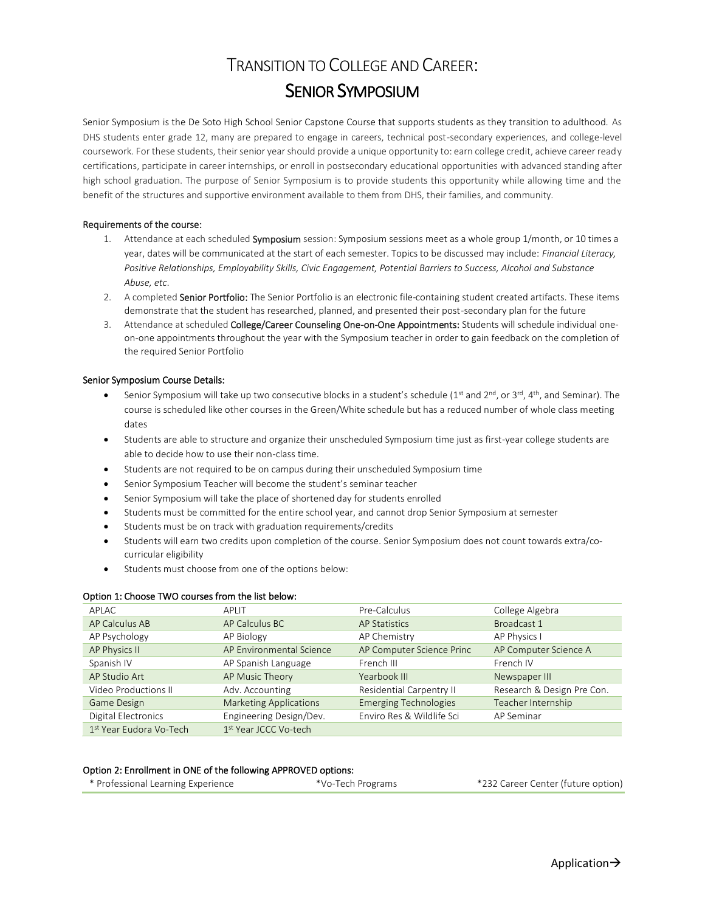# TRANSITION TO COLLEGE AND CAREER: SENIOR SYMPOSIUM

Senior Symposium is the De Soto High School Senior Capstone Course that supports students as they transition to adulthood. As DHS students enter grade 12, many are prepared to engage in careers, technical post-secondary experiences, and college-level coursework. For these students, their senior year should provide a unique opportunity to: earn college credit, achieve career ready certifications, participate in career internships, or enroll in postsecondary educational opportunities with advanced standing after high school graduation. The purpose of Senior Symposium is to provide students this opportunity while allowing time and the benefit of the structures and supportive environment available to them from DHS, their families, and community.

#### Requirements of the course:

- 1. Attendance at each scheduled Symposium session: Symposium sessions meet as a whole group 1/month, or 10 times a year, dates will be communicated at the start of each semester. Topics to be discussed may include: *Financial Literacy, Positive Relationships, Employability Skills, Civic Engagement, Potential Barriers to Success, Alcohol and Substance Abuse, etc*.
- 2. A completed Senior Portfolio: The Senior Portfolio is an electronic file-containing student created artifacts. These items demonstrate that the student has researched, planned, and presented their post-secondary plan for the future
- 3. Attendance at scheduled College/Career Counseling One-on-One Appointments: Students will schedule individual oneon-one appointments throughout the year with the Symposium teacher in order to gain feedback on the completion of the required Senior Portfolio

#### Senior Symposium Course Details:

- Senior Symposium will take up two consecutive blocks in a student's schedule (1<sup>st</sup> and 2<sup>nd</sup>, or 3<sup>rd</sup>, 4<sup>th</sup>, and Seminar). The course is scheduled like other courses in the Green/White schedule but has a reduced number of whole class meeting dates
- Students are able to structure and organize their unscheduled Symposium time just as first-year college students are able to decide how to use their non-class time.
- Students are not required to be on campus during their unscheduled Symposium time
- Senior Symposium Teacher will become the student's seminar teacher
- Senior Symposium will take the place of shortened day for students enrolled
- Students must be committed for the entire school year, and cannot drop Senior Symposium at semester
- Students must be on track with graduation requirements/credits
- Students will earn two credits upon completion of the course. Senior Symposium does not count towards extra/cocurricular eligibility
- Students must choose from one of the options below:

| APLAC                       | APLIT                             | Pre-Calculus                 | College Algebra            |  |
|-----------------------------|-----------------------------------|------------------------------|----------------------------|--|
| AP Calculus AB              | AP Calculus BC                    | <b>AP Statistics</b>         | Broadcast 1                |  |
| AP Psychology               | AP Biology                        | AP Chemistry                 | AP Physics I               |  |
| <b>AP Physics II</b>        | AP Environmental Science          | AP Computer Science Princ    | AP Computer Science A      |  |
| Spanish IV                  | AP Spanish Language               | French III                   | French IV                  |  |
| AP Studio Art               | AP Music Theory                   | Yearbook III                 | Newspaper III              |  |
| <b>Video Productions II</b> | Adv. Accounting                   | Residential Carpentry II     | Research & Design Pre Con. |  |
| <b>Game Design</b>          | <b>Marketing Applications</b>     | <b>Emerging Technologies</b> | Teacher Internship         |  |
| Digital Electronics         | Engineering Design/Dev.           | Enviro Res & Wildlife Sci    | AP Seminar                 |  |
| 1st Year Eudora Vo-Tech     | 1 <sup>st</sup> Year JCCC Vo-tech |                              |                            |  |

### Option 1: Choose TWO courses from the list below:

#### Option 2: Enrollment in ONE of the following APPROVED options:

| * Professional Learning Experience | *Vo-Tech Programs | *232 Career Center (future option) |
|------------------------------------|-------------------|------------------------------------|
|------------------------------------|-------------------|------------------------------------|